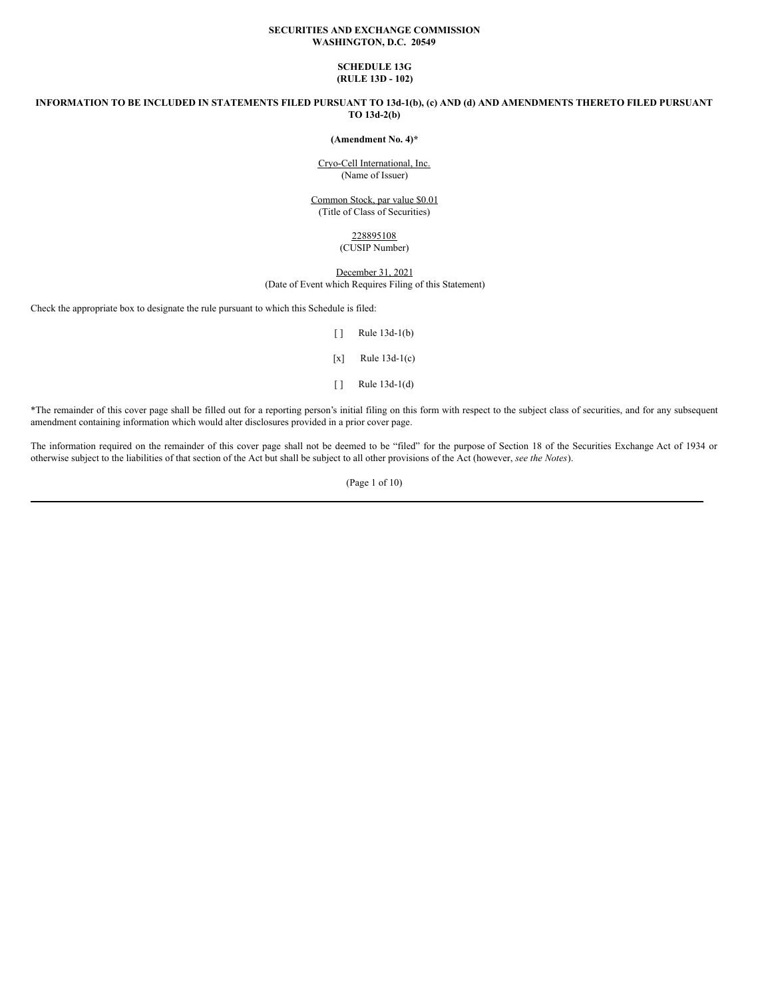### **SECURITIES AND EXCHANGE COMMISSION WASHINGTON, D.C. 20549**

## **SCHEDULE 13G (RULE 13D - 102)**

INFORMATION TO BE INCLUDED IN STATEMENTS FILED PURSUANT TO 13d-1(b), (c) AND (d) AND AMENDMENTS THERETO FILED PURSUANT **TO 13d-2(b)**

#### **(Amendment No. 4)\***

Cryo-Cell International, Inc. (Name of Issuer)

Common Stock, par value \$0.01 (Title of Class of Securities)

## 228895108 (CUSIP Number)

## December 31, 2021 (Date of Event which Requires Filing of this Statement)

Check the appropriate box to designate the rule pursuant to which this Schedule is filed:

- [ ] Rule 13d-1(b)  $[x]$  Rule 13d-1(c)
- [ ] Rule 13d-1(d)

\*The remainder of this cover page shall be filled out for a reporting person's initial filing on this form with respect to the subject class of securities, and for any subsequent amendment containing information which would alter disclosures provided in a prior cover page.

The information required on the remainder of this cover page shall not be deemed to be "filed" for the purpose of Section 18 of the Securities Exchange Act of 1934 or otherwise subject to the liabilities of that section of the Act but shall be subject to all other provisions of the Act (however, *see the Notes*).

(Page 1 of 10)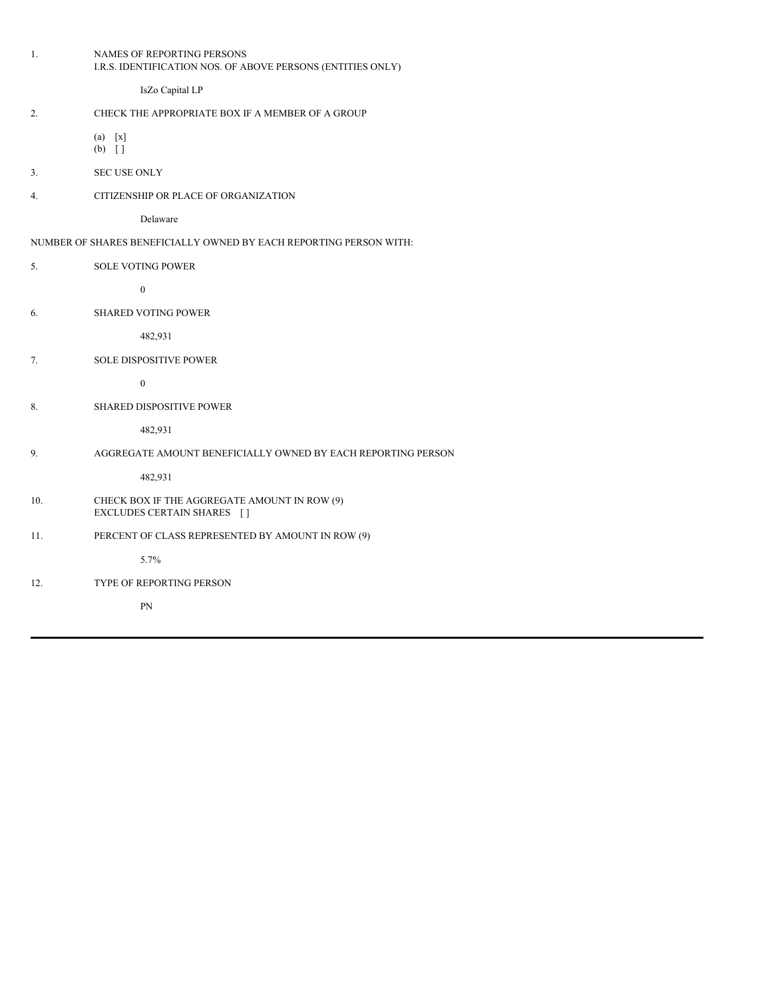| 1.  | NAMES OF REPORTING PERSONS<br>I.R.S. IDENTIFICATION NOS. OF ABOVE PERSONS (ENTITIES ONLY) |
|-----|-------------------------------------------------------------------------------------------|
|     | IsZo Capital LP                                                                           |
| 2.  | CHECK THE APPROPRIATE BOX IF A MEMBER OF A GROUP                                          |
|     | $(a)$ [x]<br>$(b)$ []                                                                     |
| 3.  | <b>SEC USE ONLY</b>                                                                       |
| 4.  | CITIZENSHIP OR PLACE OF ORGANIZATION                                                      |
|     | Delaware                                                                                  |
|     | NUMBER OF SHARES BENEFICIALLY OWNED BY EACH REPORTING PERSON WITH:                        |
| 5.  | <b>SOLE VOTING POWER</b>                                                                  |
|     | $\boldsymbol{0}$                                                                          |
| 6.  | <b>SHARED VOTING POWER</b>                                                                |
|     | 482,931                                                                                   |
| 7.  | SOLE DISPOSITIVE POWER                                                                    |
|     | $\boldsymbol{0}$                                                                          |
| 8.  | SHARED DISPOSITIVE POWER                                                                  |
|     | 482,931                                                                                   |
| 9.  | AGGREGATE AMOUNT BENEFICIALLY OWNED BY EACH REPORTING PERSON                              |
|     | 482,931                                                                                   |
| 10. | CHECK BOX IF THE AGGREGATE AMOUNT IN ROW (9)<br>EXCLUDES CERTAIN SHARES []                |
| 11. | PERCENT OF CLASS REPRESENTED BY AMOUNT IN ROW (9)                                         |
|     | 5.7%                                                                                      |
| 12. | TYPE OF REPORTING PERSON                                                                  |
|     | PN                                                                                        |
|     |                                                                                           |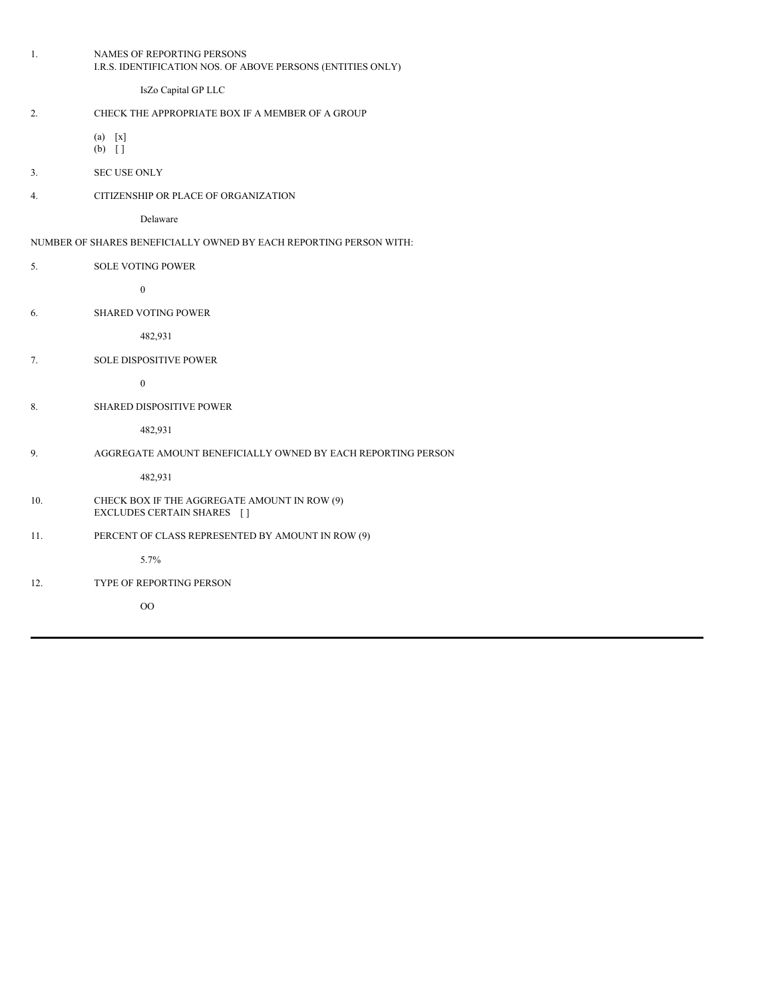| 1.  | NAMES OF REPORTING PERSONS<br>I.R.S. IDENTIFICATION NOS. OF ABOVE PERSONS (ENTITIES ONLY) |
|-----|-------------------------------------------------------------------------------------------|
|     | IsZo Capital GP LLC                                                                       |
| 2.  | CHECK THE APPROPRIATE BOX IF A MEMBER OF A GROUP                                          |
|     | $(a)$ [x]<br>$(b)$ []                                                                     |
| 3.  | <b>SEC USE ONLY</b>                                                                       |
| 4.  | CITIZENSHIP OR PLACE OF ORGANIZATION                                                      |
|     | Delaware                                                                                  |
|     | NUMBER OF SHARES BENEFICIALLY OWNED BY EACH REPORTING PERSON WITH:                        |
| 5.  | <b>SOLE VOTING POWER</b>                                                                  |
|     | $\boldsymbol{0}$                                                                          |
| 6.  | <b>SHARED VOTING POWER</b>                                                                |
|     | 482,931                                                                                   |
| 7.  | SOLE DISPOSITIVE POWER                                                                    |
|     | $\boldsymbol{0}$                                                                          |
| 8.  | SHARED DISPOSITIVE POWER                                                                  |
|     | 482,931                                                                                   |
| 9.  | AGGREGATE AMOUNT BENEFICIALLY OWNED BY EACH REPORTING PERSON                              |
|     | 482,931                                                                                   |
| 10. | CHECK BOX IF THE AGGREGATE AMOUNT IN ROW (9)<br>EXCLUDES CERTAIN SHARES []                |
| 11. | PERCENT OF CLASS REPRESENTED BY AMOUNT IN ROW (9)                                         |
|     | 5.7%                                                                                      |
| 12. | TYPE OF REPORTING PERSON                                                                  |
|     | O <sub>O</sub>                                                                            |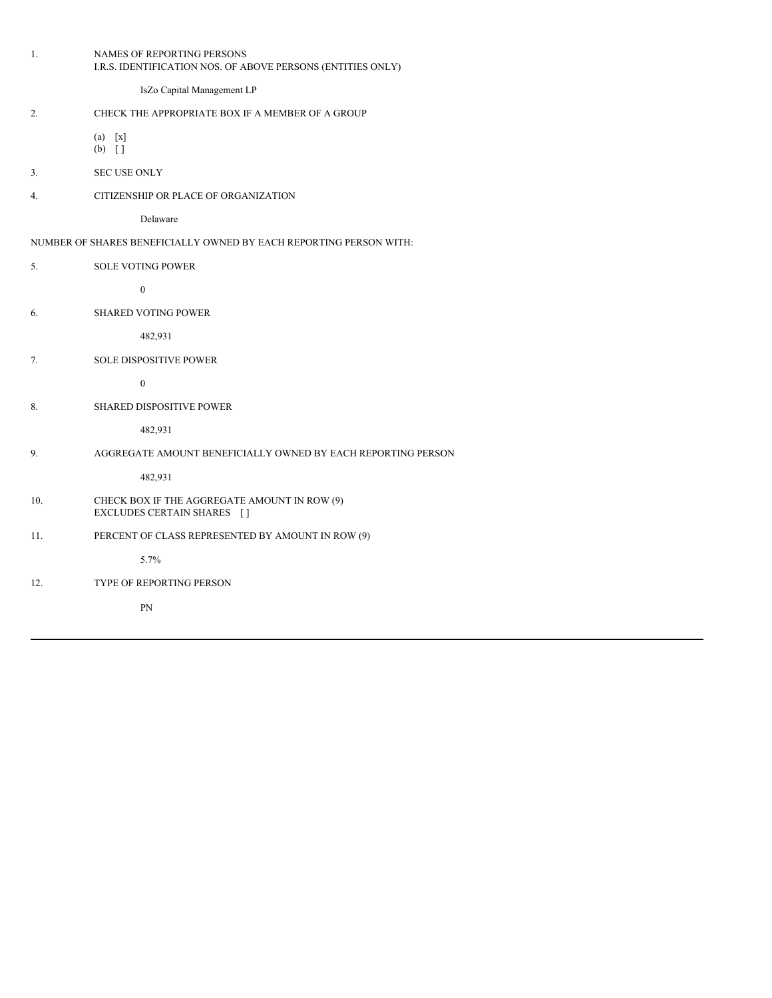|                                                                    | 1.  | NAMES OF REPORTING PERSONS<br>I.R.S. IDENTIFICATION NOS. OF ABOVE PERSONS (ENTITIES ONLY) |  |  |
|--------------------------------------------------------------------|-----|-------------------------------------------------------------------------------------------|--|--|
|                                                                    |     | IsZo Capital Management LP                                                                |  |  |
|                                                                    | 2.  | CHECK THE APPROPRIATE BOX IF A MEMBER OF A GROUP                                          |  |  |
|                                                                    |     | $(a)$ [x]<br>$(b)$ []                                                                     |  |  |
|                                                                    | 3.  | <b>SEC USE ONLY</b>                                                                       |  |  |
|                                                                    | 4.  | CITIZENSHIP OR PLACE OF ORGANIZATION                                                      |  |  |
|                                                                    |     | Delaware                                                                                  |  |  |
| NUMBER OF SHARES BENEFICIALLY OWNED BY EACH REPORTING PERSON WITH: |     |                                                                                           |  |  |
|                                                                    | 5.  | <b>SOLE VOTING POWER</b>                                                                  |  |  |
|                                                                    |     | $\boldsymbol{0}$                                                                          |  |  |
|                                                                    | 6.  | <b>SHARED VOTING POWER</b>                                                                |  |  |
|                                                                    |     | 482,931                                                                                   |  |  |
|                                                                    | 7.  | <b>SOLE DISPOSITIVE POWER</b>                                                             |  |  |
|                                                                    |     | $\boldsymbol{0}$                                                                          |  |  |
|                                                                    | 8.  | SHARED DISPOSITIVE POWER                                                                  |  |  |
|                                                                    |     | 482,931                                                                                   |  |  |
|                                                                    | 9.  | AGGREGATE AMOUNT BENEFICIALLY OWNED BY EACH REPORTING PERSON                              |  |  |
|                                                                    |     | 482,931                                                                                   |  |  |
|                                                                    | 10. | CHECK BOX IF THE AGGREGATE AMOUNT IN ROW (9)<br>EXCLUDES CERTAIN SHARES []                |  |  |
|                                                                    | 11. | PERCENT OF CLASS REPRESENTED BY AMOUNT IN ROW (9)                                         |  |  |
|                                                                    |     | 5.7%                                                                                      |  |  |
|                                                                    | 12. | TYPE OF REPORTING PERSON                                                                  |  |  |
|                                                                    |     | PN                                                                                        |  |  |
|                                                                    |     |                                                                                           |  |  |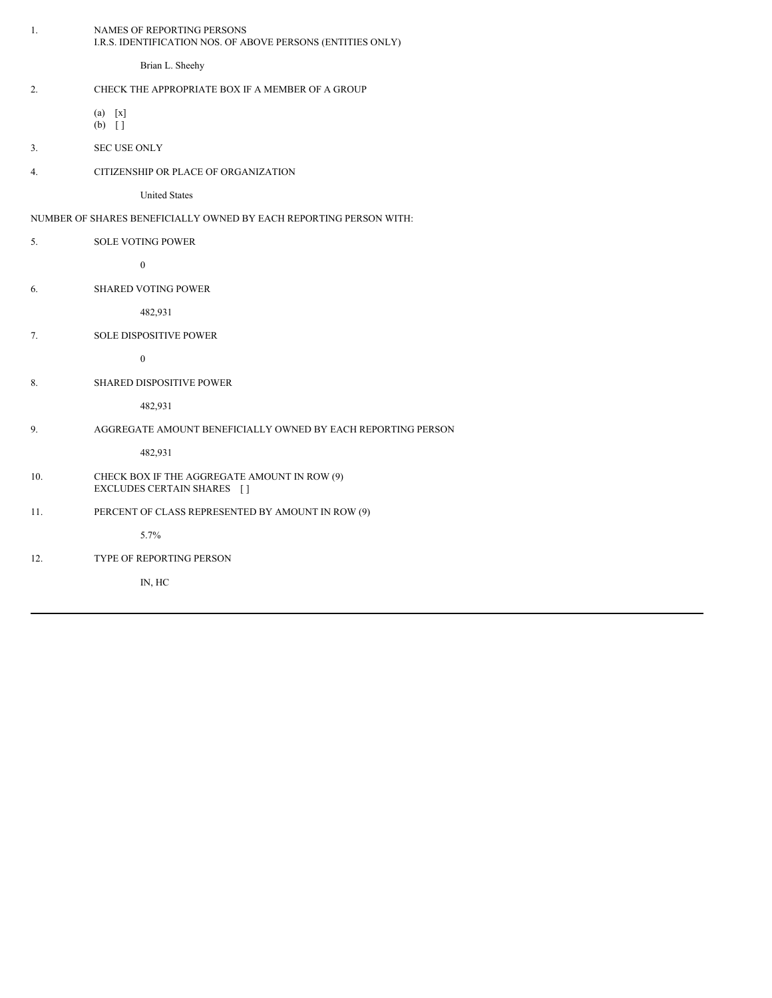| Brian L. Sheehy<br>CHECK THE APPROPRIATE BOX IF A MEMBER OF A GROUP<br>2.<br>$(a)$ [x]<br>$(b)$ []<br><b>SEC USE ONLY</b><br>3.<br>CITIZENSHIP OR PLACE OF ORGANIZATION<br>4.<br><b>United States</b><br>NUMBER OF SHARES BENEFICIALLY OWNED BY EACH REPORTING PERSON WITH:<br>5.<br><b>SOLE VOTING POWER</b><br>$\boldsymbol{0}$<br><b>SHARED VOTING POWER</b><br>6.<br>482,931<br>7.<br><b>SOLE DISPOSITIVE POWER</b><br>$\boldsymbol{0}$<br>8.<br>SHARED DISPOSITIVE POWER<br>482,931<br>9.<br>AGGREGATE AMOUNT BENEFICIALLY OWNED BY EACH REPORTING PERSON<br>482,931<br>CHECK BOX IF THE AGGREGATE AMOUNT IN ROW (9)<br>10.<br>EXCLUDES CERTAIN SHARES []<br>PERCENT OF CLASS REPRESENTED BY AMOUNT IN ROW (9)<br>11.<br>5.7%<br>TYPE OF REPORTING PERSON<br>12. | 1. | NAMES OF REPORTING PERSONS<br>I.R.S. IDENTIFICATION NOS. OF ABOVE PERSONS (ENTITIES ONLY) |
|-----------------------------------------------------------------------------------------------------------------------------------------------------------------------------------------------------------------------------------------------------------------------------------------------------------------------------------------------------------------------------------------------------------------------------------------------------------------------------------------------------------------------------------------------------------------------------------------------------------------------------------------------------------------------------------------------------------------------------------------------------------------------|----|-------------------------------------------------------------------------------------------|
|                                                                                                                                                                                                                                                                                                                                                                                                                                                                                                                                                                                                                                                                                                                                                                       |    |                                                                                           |
|                                                                                                                                                                                                                                                                                                                                                                                                                                                                                                                                                                                                                                                                                                                                                                       |    |                                                                                           |
|                                                                                                                                                                                                                                                                                                                                                                                                                                                                                                                                                                                                                                                                                                                                                                       |    |                                                                                           |
|                                                                                                                                                                                                                                                                                                                                                                                                                                                                                                                                                                                                                                                                                                                                                                       |    |                                                                                           |
|                                                                                                                                                                                                                                                                                                                                                                                                                                                                                                                                                                                                                                                                                                                                                                       |    |                                                                                           |
|                                                                                                                                                                                                                                                                                                                                                                                                                                                                                                                                                                                                                                                                                                                                                                       |    |                                                                                           |
|                                                                                                                                                                                                                                                                                                                                                                                                                                                                                                                                                                                                                                                                                                                                                                       |    |                                                                                           |
|                                                                                                                                                                                                                                                                                                                                                                                                                                                                                                                                                                                                                                                                                                                                                                       |    |                                                                                           |
|                                                                                                                                                                                                                                                                                                                                                                                                                                                                                                                                                                                                                                                                                                                                                                       |    |                                                                                           |
|                                                                                                                                                                                                                                                                                                                                                                                                                                                                                                                                                                                                                                                                                                                                                                       |    |                                                                                           |
|                                                                                                                                                                                                                                                                                                                                                                                                                                                                                                                                                                                                                                                                                                                                                                       |    |                                                                                           |
|                                                                                                                                                                                                                                                                                                                                                                                                                                                                                                                                                                                                                                                                                                                                                                       |    |                                                                                           |
|                                                                                                                                                                                                                                                                                                                                                                                                                                                                                                                                                                                                                                                                                                                                                                       |    |                                                                                           |
|                                                                                                                                                                                                                                                                                                                                                                                                                                                                                                                                                                                                                                                                                                                                                                       |    |                                                                                           |
|                                                                                                                                                                                                                                                                                                                                                                                                                                                                                                                                                                                                                                                                                                                                                                       |    |                                                                                           |
|                                                                                                                                                                                                                                                                                                                                                                                                                                                                                                                                                                                                                                                                                                                                                                       |    |                                                                                           |
|                                                                                                                                                                                                                                                                                                                                                                                                                                                                                                                                                                                                                                                                                                                                                                       |    |                                                                                           |
|                                                                                                                                                                                                                                                                                                                                                                                                                                                                                                                                                                                                                                                                                                                                                                       |    |                                                                                           |
|                                                                                                                                                                                                                                                                                                                                                                                                                                                                                                                                                                                                                                                                                                                                                                       |    |                                                                                           |
|                                                                                                                                                                                                                                                                                                                                                                                                                                                                                                                                                                                                                                                                                                                                                                       |    |                                                                                           |
|                                                                                                                                                                                                                                                                                                                                                                                                                                                                                                                                                                                                                                                                                                                                                                       |    |                                                                                           |
| IN, HC                                                                                                                                                                                                                                                                                                                                                                                                                                                                                                                                                                                                                                                                                                                                                                |    |                                                                                           |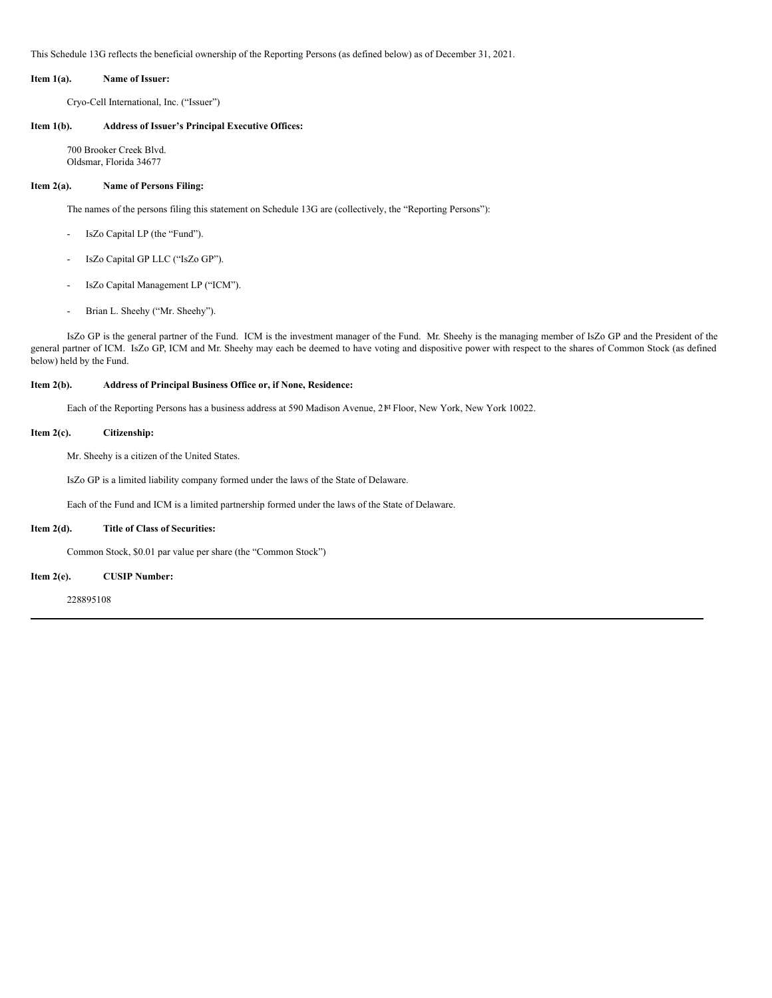This Schedule 13G reflects the beneficial ownership of the Reporting Persons (as defined below) as of December 31, 2021.

#### **Item 1(a). Name of Issuer:**

Cryo-Cell International, Inc. ("Issuer")

### **Item 1(b). Address of Issuer's Principal Executive Offices:**

700 Brooker Creek Blvd. Oldsmar, Florida 34677

#### **Item 2(a). Name of Persons Filing:**

The names of the persons filing this statement on Schedule 13G are (collectively, the "Reporting Persons"):

- IsZo Capital LP (the "Fund").
- IsZo Capital GP LLC ("IsZo GP").
- IsZo Capital Management LP ("ICM").
- Brian L. Sheehy ("Mr. Sheehy").

IsZo GP is the general partner of the Fund. ICM is the investment manager of the Fund. Mr. Sheehy is the managing member of IsZo GP and the President of the general partner of ICM. IsZo GP, ICM and Mr. Sheehy may each be deemed to have voting and dispositive power with respect to the shares of Common Stock (as defined below) held by the Fund.

#### **Item 2(b). Address of Principal Business Office or, if None, Residence:**

Each of the Reporting Persons has a business address at 590 Madison Avenue, 2<sup>pt</sup> Floor, New York, New York 10022.

### **Item 2(c). Citizenship:**

Mr. Sheehy is a citizen of the United States.

IsZo GP is a limited liability company formed under the laws of the State of Delaware.

Each of the Fund and ICM is a limited partnership formed under the laws of the State of Delaware.

#### **Item 2(d). Title of Class of Securities:**

Common Stock, \$0.01 par value per share (the "Common Stock")

**Item 2(e). CUSIP Number:**

228895108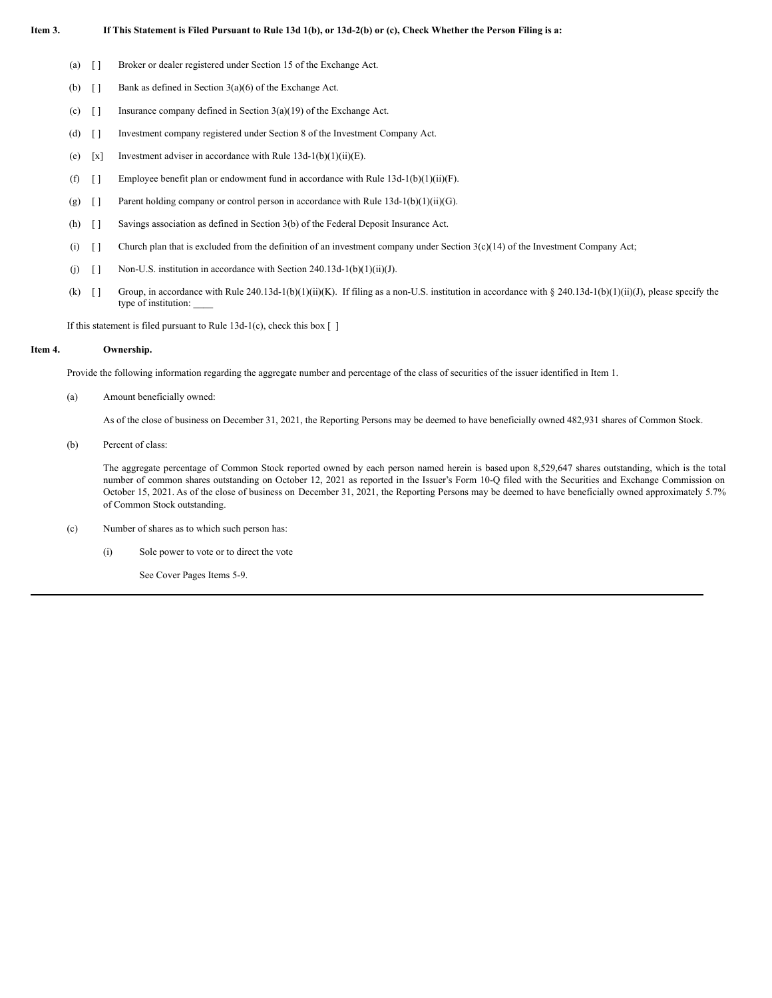### Item 3. If This Statement is Filed Pursuant to Rule 13d 1(b), or 13d-2(b) or (c), Check Whether the Person Filing is a:

- (a) [ ] Broker or dealer registered under Section 15 of the Exchange Act.
- (b)  $\begin{bmatrix} \end{bmatrix}$  Bank as defined in Section 3(a)(6) of the Exchange Act.
- (c)  $\lceil \cdot \rceil$  Insurance company defined in Section 3(a)(19) of the Exchange Act.
- (d) [ ] Investment company registered under Section 8 of the Investment Company Act.
- (e)  $[x]$  Investment adviser in accordance with Rule 13d-1(b)(1)(ii)(E).
- (f)  $\lceil \rceil$  Employee benefit plan or endowment fund in accordance with Rule 13d-1(b)(1)(ii)(F).
- (g) [ ] Parent holding company or control person in accordance with Rule 13d-1(b)(1)(ii)(G).
- (h) [ ] Savings association as defined in Section 3(b) of the Federal Deposit Insurance Act.
- (i)  $\begin{bmatrix} 1 \\ 2 \end{bmatrix}$  Church plan that is excluded from the definition of an investment company under Section 3(c)(14) of the Investment Company Act;
- (j)  $\lceil \rceil$  Non-U.S. institution in accordance with Section 240.13d-1(b)(1)(ii)(J).
- (k)  $[$  ] Group, in accordance with Rule 240.13d-1(b)(1)(ii)(K). If filing as a non-U.S. institution in accordance with § 240.13d-1(b)(1)(ii)(J), please specify the type of institution: \_\_\_\_

If this statement is filed pursuant to Rule  $13d-1(c)$ , check this box  $\lceil \cdot \rceil$ 

#### **Item 4. Ownership.**

Provide the following information regarding the aggregate number and percentage of the class of securities of the issuer identified in Item 1.

(a) Amount beneficially owned:

As of the close of business on December 31, 2021, the Reporting Persons may be deemed to have beneficially owned 482,931 shares of Common Stock.

(b) Percent of class:

The aggregate percentage of Common Stock reported owned by each person named herein is based upon 8,529,647 shares outstanding, which is the total number of common shares outstanding on October 12, 2021 as reported in the Issuer's Form 10-Q filed with the Securities and Exchange Commission on October 15, 2021. As of the close of business on December 31, 2021, the Reporting Persons may be deemed to have beneficially owned approximately 5.7% of Common Stock outstanding.

- (c) Number of shares as to which such person has:
	- (i) Sole power to vote or to direct the vote

See Cover Pages Items 5-9.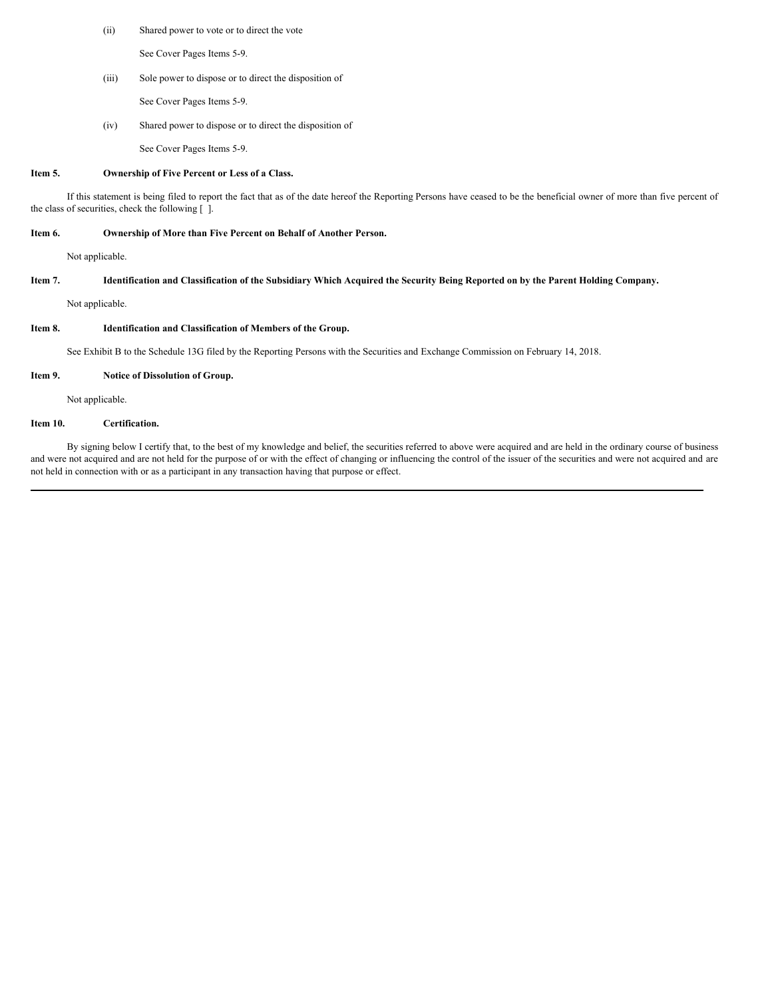(ii) Shared power to vote or to direct the vote

See Cover Pages Items 5-9.

(iii) Sole power to dispose or to direct the disposition of

See Cover Pages Items 5-9.

(iv) Shared power to dispose or to direct the disposition of

See Cover Pages Items 5-9.

## **Item 5. Ownership of Five Percent or Less of a Class.**

If this statement is being filed to report the fact that as of the date hereof the Reporting Persons have ceased to be the beneficial owner of more than five percent of the class of securities, check the following [ ].

#### **Item 6. Ownership of More than Five Percent on Behalf of Another Person.**

Not applicable.

### Item 7. Identification and Classification of the Subsidiary Which Acquired the Security Being Reported on by the Parent Holding Company.

Not applicable.

### **Item 8. Identification and Classification of Members of the Group.**

See Exhibit B to the Schedule 13G filed by the Reporting Persons with the Securities and Exchange Commission on February 14, 2018.

#### **Item 9. Notice of Dissolution of Group.**

Not applicable.

## **Item 10. Certification.**

By signing below I certify that, to the best of my knowledge and belief, the securities referred to above were acquired and are held in the ordinary course of business and were not acquired and are not held for the purpose of or with the effect of changing or influencing the control of the issuer of the securities and were not acquired and are not held in connection with or as a participant in any transaction having that purpose or effect.